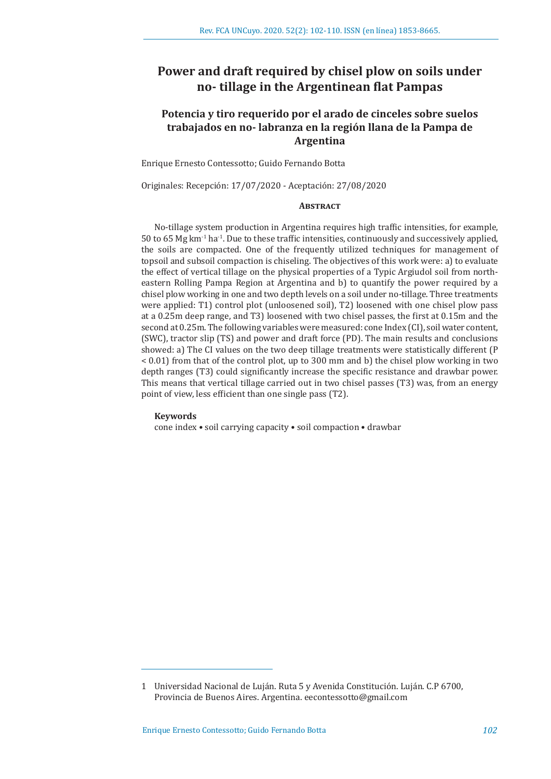# **Power and draft required by chisel plow on soils under no- tillage in the Argentinean flat Pampas**

## **Potencia y tiro requerido por el arado de cinceles sobre suelos trabajados en no- labranza en la región llana de la Pampa de Argentina**

Enrique Ernesto Contessotto; Guido Fernando Botta

Originales: Recepción: 17/07/2020 - Aceptación: 27/08/2020

## **Abstract**

No-tillage system production in Argentina requires high traffic intensities, for example, 50 to 65 Mg  $km<sup>-1</sup>$  ha<sup>-1</sup>. Due to these traffic intensities, continuously and successively applied, the soils are compacted. One of the frequently utilized techniques for management of topsoil and subsoil compaction is chiseling. The objectives of this work were: a) to evaluate the effect of vertical tillage on the physical properties of a Typic Argiudol soil from northeastern Rolling Pampa Region at Argentina and b) to quantify the power required by a chisel plow working in one and two depth levels on a soil under no-tillage. Three treatments were applied: T1) control plot (unloosened soil), T2) loosened with one chisel plow pass at a 0.25m deep range, and T3) loosened with two chisel passes, the first at 0.15m and the second at 0.25m. The following variables were measured: cone Index (CI), soil water content, (SWC), tractor slip (TS) and power and draft force (PD). The main results and conclusions showed: a) The CI values on the two deep tillage treatments were statistically different (P < 0.01) from that of the control plot, up to 300 mm and b) the chisel plow working in two depth ranges (T3) could significantly increase the specific resistance and drawbar power. This means that vertical tillage carried out in two chisel passes (T3) was, from an energy point of view, less efficient than one single pass (T2).

#### **Keywords**

cone index • soil carrying capacity • soil compaction • drawbar

<sup>1</sup> Universidad Nacional de Luján. Ruta 5 y Avenida Constitución. Luján. C.P 6700, Provincia de Buenos Aires. Argentina. eecontessotto@gmail.com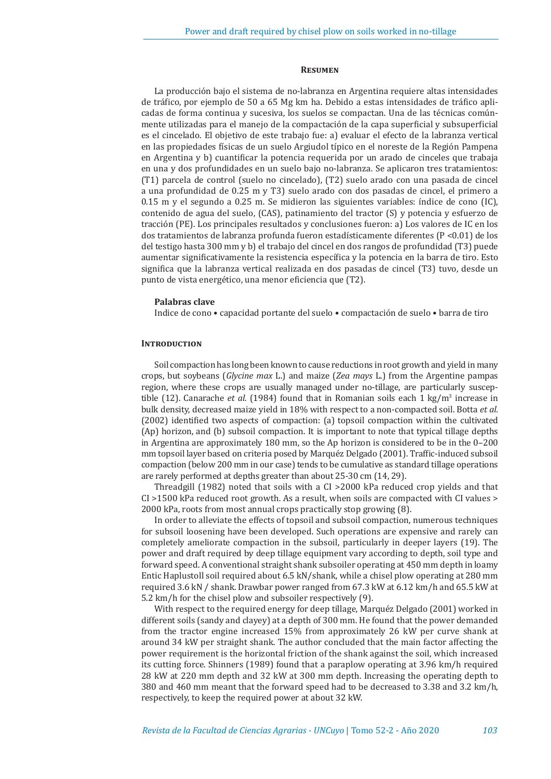#### **Resumen**

La producción bajo el sistema de no-labranza en Argentina requiere altas intensidades de tráfico, por ejemplo de 50 a 65 Mg km ha. Debido a estas intensidades de tráfico aplicadas de forma continua y sucesiva, los suelos se compactan. Una de las técnicas comúnmente utilizadas para el manejo de la compactación de la capa superficial y subsuperficial es el cincelado. El objetivo de este trabajo fue: a) evaluar el efecto de la labranza vertical en las propiedades físicas de un suelo Argiudol típico en el noreste de la Región Pampena en Argentina y b) cuantificar la potencia requerida por un arado de cinceles que trabaja en una y dos profundidades en un suelo bajo no-labranza. Se aplicaron tres tratamientos: (T1) parcela de control (suelo no cincelado), (T2) suelo arado con una pasada de cincel a una profundidad de 0.25 m y T3) suelo arado con dos pasadas de cincel, el primero a 0.15 m y el segundo a 0.25 m. Se midieron las siguientes variables: índice de cono (IC), contenido de agua del suelo, (CAS), patinamiento del tractor (S) y potencia y esfuerzo de tracción (PE). Los principales resultados y conclusiones fueron: a) Los valores de IC en los dos tratamientos de labranza profunda fueron estadísticamente diferentes (P <0.01) de los del testigo hasta 300 mm y b) el trabajo del cincel en dos rangos de profundidad (T3) puede aumentar significativamente la resistencia específica y la potencia en la barra de tiro. Esto significa que la labranza vertical realizada en dos pasadas de cincel (T3) tuvo, desde un punto de vista energético, una menor eficiencia que (T2).

### **Palabras clave**

Indice de cono • capacidad portante del suelo • compactación de suelo • barra de tiro

### **INTRODUCTION**

Soil compaction has long been known to cause reductions in root growth and yield in many crops, but soybeans (*Glycine max* L.) and maize (*Zea mays* L.) from the Argentine pampas region, where these crops are usually managed under no-tillage, are particularly susceptible (12). Canarache *et al.* (1984) found that in Romanian soils each 1 kg/m<sup>3</sup> increase in bulk density, decreased maize yield in 18% with respect to a non-compacted soil. Botta *et al.* (2002) identified two aspects of compaction: (a) topsoil compaction within the cultivated (Ap) horizon, and (b) subsoil compaction. It is important to note that typical tillage depths in Argentina are approximately 180 mm, so the Ap horizon is considered to be in the 0–200 mm topsoil layer based on criteria posed by Marquéz Delgado (2001). Traffic-induced subsoil compaction (below 200 mm in our case) tends to be cumulative as standard tillage operations are rarely performed at depths greater than about 25-30 cm (14, 29).

Threadgill (1982) noted that soils with a CI >2000 kPa reduced crop yields and that CI >1500 kPa reduced root growth. As a result, when soils are compacted with CI values > 2000 kPa, roots from most annual crops practically stop growing (8).

In order to alleviate the effects of topsoil and subsoil compaction, numerous techniques for subsoil loosening have been developed. Such operations are expensive and rarely can completely ameliorate compaction in the subsoil, particularly in deeper layers (19). The power and draft required by deep tillage equipment vary according to depth, soil type and forward speed. A conventional straight shank subsoiler operating at 450 mm depth in loamy Entic Haplustoll soil required about 6.5 kN/shank, while a chisel plow operating at 280 mm required 3.6 kN / shank. Drawbar power ranged from 67.3 kW at 6.12 km/h and 65.5 kW at 5.2 km/h for the chisel plow and subsoiler respectively (9).

With respect to the required energy for deep tillage, Marquéz Delgado (2001) worked in different soils (sandy and clayey) at a depth of 300 mm. He found that the power demanded from the tractor engine increased 15% from approximately 26 kW per curve shank at around 34 kW per straight shank. The author concluded that the main factor affecting the power requirement is the horizontal friction of the shank against the soil, which increased its cutting force. Shinners (1989) found that a paraplow operating at 3.96 km/h required 28 kW at 220 mm depth and 32 kW at 300 mm depth. Increasing the operating depth to 380 and 460 mm meant that the forward speed had to be decreased to 3.38 and 3.2 km/h, respectively, to keep the required power at about 32 kW.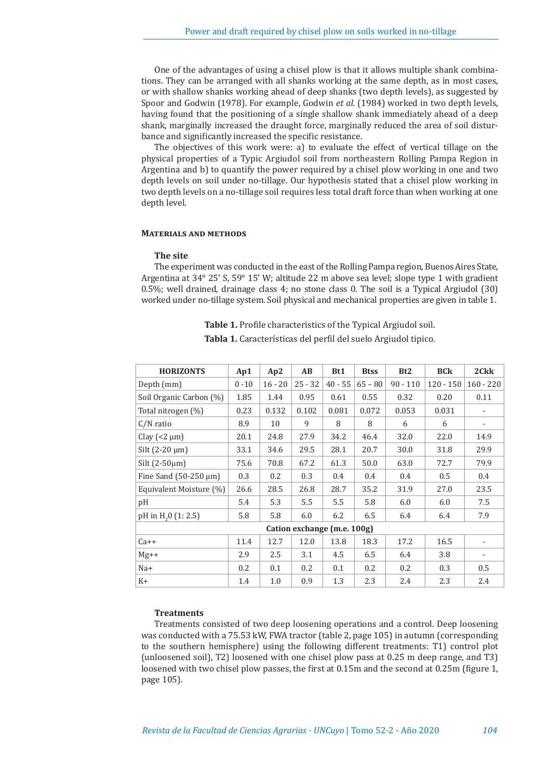One of the advantages of using a chisel plow is that it allows multiple shank combinations. They can be arranged with all shanks working at the same depth, as in most cases, or with shallow shanks working ahead of deep shanks (two depth levels), as suggested by Spoor and Godwin (1978). For example, Godwin *et al.* (1984) worked in two depth levels, having found that the positioning of a single shallow shank immediately ahead of a deep shank, marginally increased the draught force, marginally reduced the area of soil disturbance and significantly increased the specific resistance.

The objectives of this work were: a) to evaluate the effect of vertical tillage on the physical properties of a Typic Argiudol soil from northeastern Rolling Pampa Region in Argentina and b) to quantify the power required by a chisel plow working in one and two depth levels on soil under no-tillage. Our hypothesis stated that a chisel plow working in two depth levels on a no-tillage soil requires less total draft force than when working at one depth level.

#### **Materials and methods**

#### **The site**

The experiment was conducted in the east of the Rolling Pampa region, Buenos Aires State, Argentina at 34° 25' S, 59° 15' W; altitude 22 m above sea level; slope type 1 with gradient 0.5%; well drained, drainage class 4; no stone class 0. The soil is a Typical Argiudol (30) worked under no-tillage system. Soil physical and mechanical properties are given in table 1.

> **Table 1.** Profile characteristics of the Typical Argiudol soil. **Tabla 1.** Características del perfil del suelo Argiudol tipico.

| <b>HORIZONTS</b>                | Ap1      | Ap2       | AB        | Bt1       | <b>Btss</b> | B <sub>t2</sub> | <b>BCk</b>  | 2Ckk          |
|---------------------------------|----------|-----------|-----------|-----------|-------------|-----------------|-------------|---------------|
| Depth (mm)                      | $0 - 10$ | $16 - 20$ | $25 - 32$ | $40 - 55$ | $65 - 80$   | $90 - 110$      | $120 - 150$ | $160 - 220$   |
| Soil Organic Carbon (%)         | 1.85     | 1.44      | 0.95      | 0.61      | 0.55        | 0.32            | 0.20        | 0.11          |
| Total nitrogen (%)              | 0.23     | 0.132     | 0.102     | 0.081     | 0.072       | 0.053           | 0.031       |               |
| $C/N$ ratio                     | 8.9      | 10        | 9         | 8         | 8           | 6               | 6           |               |
| Clay $(< 2 \mu m)$              | 20.1     | 24.8      | 27.9      | 34.2      | 46.4        | 32.0            | 22.0        | 14.9          |
| Silt $(2-20 \mu m)$             | 33.1     | 34.6      | 29.5      | 28.1      | 20.7        | 30.0            | 31.8        | 29.9          |
| Silt $(2-50\mu m)$              | 75.6     | 70.8      | 67.2      | 61.3      | 50.0        | 63.0            | 72.7        | 79.9          |
| Fine Sand $(50-250 \mu m)$      | 0.3      | 0.2       | 0.3       | 0.4       | 0.4         | 0.4             | 0.5         | 0.4           |
| Equivalent Moisture (%)         | 26.6     | 28.5      | 26.8      | 28.7      | 35.2        | 31.9            | 27.0        | 23.5          |
| pH                              | 5.4      | 5.3       | 5.5       | 5.5       | 5.8         | 6.0             | 6.0         | 7.5           |
| pH in H <sub>2</sub> 0 (1: 2.5) | 5.8      | 5.8       | 6.0       | 6.2       | 6.5         | 6.4             | 6.4         | 7.9           |
| Cation exchange (m.e. 100g)     |          |           |           |           |             |                 |             |               |
| $Ca++$                          | 11.4     | 12.7      | 12.0      | 13.8      | 18.3        | 17.2            | 16.5        |               |
| $Mg++$                          | 2.9      | 2.5       | 3.1       | 4.5       | 6.5         | 6.4             | 3.8         |               |
| Na+                             | 0.2      | 0.1       | 0.2       | 0.1       | 0.2         | 0.2             | 0.3         | $0.5^{\circ}$ |
| $K+$                            | 1.4      | 1.0       | 0.9       | 1.3       | 2.3         | 2.4             | 2.3         | 2.4           |

## **Treatments**

Treatments consisted of two deep loosening operations and a control. Deep loosening was conducted with a 75.53 kW, FWA tractor (table 2, page 105) in autumn (corresponding to the southern hemisphere) using the following different treatments: T1) control plot (unloosened soil), T2) loosened with one chisel plow pass at 0.25 m deep range, and T3) loosened with two chisel plow passes, the first at 0.15m and the second at 0.25m (figure 1, page 105).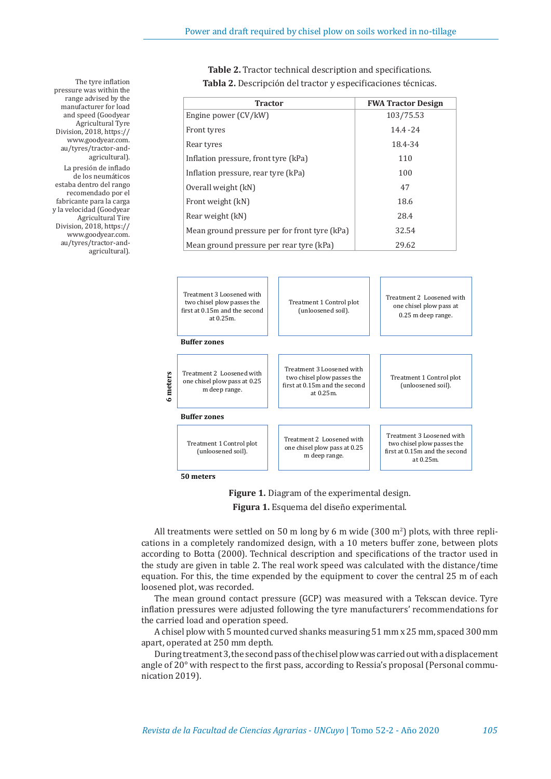| <b>Tractor</b>                                | <b>FWA Tractor Design</b> |
|-----------------------------------------------|---------------------------|
| Engine power (CV/kW)                          | 103/75.53                 |
| Front tyres                                   | $14.4 - 24$               |
| Rear tyres                                    | 18.4-34                   |
| Inflation pressure, front tyre (kPa)          | 110                       |
| Inflation pressure, rear tyre (kPa)           | 100                       |
| Overall weight (kN)                           | 47                        |
| Front weight (kN)                             | 18.6                      |
| Rear weight (kN)                              | 28.4                      |
| Mean ground pressure per for front tyre (kPa) | 32.54                     |
| Mean ground pressure per rear tyre (kPa)      | 29.62                     |

**Table 2.** Tractor technical description and specifications. **Tabla 2.** Descripción del tractor y especificaciones técnicas.



**Figure 1.** Diagram of the experimental design.

**Figura 1.** Esquema del diseño experimental.

All treatments were settled on 50 m long by 6 m wide (300 m<sup>2</sup>) plots, with three replications in a completely randomized design, with a 10 meters buffer zone, between plots according to Botta (2000). Technical description and specifications of the tractor used in the study are given in table 2. The real work speed was calculated with the distance/time equation. For this, the time expended by the equipment to cover the central 25 m of each loosened plot, was recorded.

The mean ground contact pressure (GCP) was measured with a Tekscan device. Tyre inflation pressures were adjusted following the tyre manufacturers' recommendations for the carried load and operation speed.

A chisel plow with 5 mounted curved shanks measuring 51 mm x 25 mm, spaced 300 mm apart, operated at 250 mm depth.

During treatment 3, the second pass of the chisel plow was carried out with a displacement angle of 20° with respect to the first pass, according to Ressia's proposal (Personal communication 2019).

The tyre inflation pressure was within the range advised by the manufacturer for load and speed (Goodyear Agricultural Tyre Division, 2018, https:// www.goodyear.com. au/tyres/tractor-andagricultural). La presión de inflado de los neumáticos estaba dentro del rango recomendado por el fabricante para la carga

y la velocidad (Goodyear Agricultural Tire Division, 2018, https:// www.goodyear.com. au/tyres/tractor-andagricultural).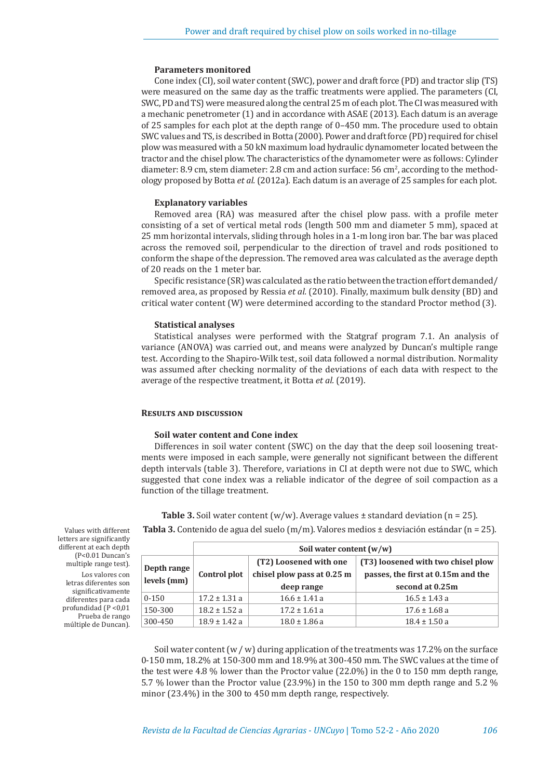#### **Parameters monitored**

Cone index (CI), soil water content (SWC), power and draft force (PD) and tractor slip (TS) were measured on the same day as the traffic treatments were applied. The parameters (CI, SWC, PD and TS) were measured along the central 25 m of each plot. The CI was measured with a mechanic penetrometer (1) and in accordance with ASAE (2013). Each datum is an average of 25 samples for each plot at the depth range of 0–450 mm. The procedure used to obtain SWC values and TS, is described in Botta (2000). Power and draft force (PD) required for chisel plow was measured with a 50 kN maximum load hydraulic dynamometer located between the tractor and the chisel plow. The characteristics of the dynamometer were as follows: Cylinder diameter: 8.9 cm, stem diameter: 2.8 cm and action surface:  $56 \text{ cm}^2$ , according to the methodology proposed by Botta *et al.* (2012a). Each datum is an average of 25 samples for each plot.

#### **Explanatory variables**

Removed area (RA) was measured after the chisel plow pass. with a profile meter consisting of a set of vertical metal rods (length 500 mm and diameter 5 mm), spaced at 25 mm horizontal intervals, sliding through holes in a 1-m long iron bar. The bar was placed across the removed soil, perpendicular to the direction of travel and rods positioned to conform the shape of the depression. The removed area was calculated as the average depth of 20 reads on the 1 meter bar.

Specific resistance (SR) was calculated as the ratio between the traction effort demanded/ removed area, as proposed by Ressia *et al.* (2010). Finally, maximum bulk density (BD) and critical water content (W) were determined according to the standard Proctor method (3).

#### **Statistical analyses**

Statistical analyses were performed with the Statgraf program 7.1. An analysis of variance (ANOVA) was carried out, and means were analyzed by Duncan's multiple range test. According to the Shapiro-Wilk test, soil data followed a normal distribution. Normality was assumed after checking normality of the deviations of each data with respect to the average of the respective treatment, it Botta *et al.* (2019).

#### **Results and discussion**

#### **Soil water content and Cone index**

Differences in soil water content (SWC) on the day that the deep soil loosening treatments were imposed in each sample, were generally not significant between the different depth intervals (table 3). Therefore, variations in CI at depth were not due to SWC, which suggested that cone index was a reliable indicator of the degree of soil compaction as a function of the tillage treatment.

|                            |                   | Soil water content $(w/w)$ |                                                                                             |  |  |  |
|----------------------------|-------------------|----------------------------|---------------------------------------------------------------------------------------------|--|--|--|
|                            |                   | (T2) Loosened with one     | (T3) loosened with two chisel plow<br>passes, the first at 0.15m and the<br>second at 0.25m |  |  |  |
| Depth range<br>levels (mm) | Control plot      | chisel plow pass at 0.25 m |                                                                                             |  |  |  |
|                            |                   | deep range                 |                                                                                             |  |  |  |
| $0 - 150$                  | $17.2 \pm 1.31$ a | $16.6 \pm 1.41$ a          | $16.5 \pm 1.43$ a                                                                           |  |  |  |
| 150-300                    | $18.2 \pm 1.52$ a | $17.2 \pm 1.61$ a          | $17.6 \pm 1.68$ a                                                                           |  |  |  |
| 300-450                    | $18.9 \pm 1.42$ a | $18.0 \pm 1.86$ a          | $18.4 \pm 1.50$ a                                                                           |  |  |  |

**Table 3.** Soil water content  $(w/w)$ . Average values  $\pm$  standard deviation (n = 25). **Tabla 3.** Contenido de agua del suelo (m/m). Valores medios ± desviación estándar (n = 25).

Soil water content (w / w) during application of the treatments was 17.2% on the surface 0-150 mm, 18.2% at 150-300 mm and 18.9% at 300-450 mm. The SWC values at the time of the test were 4.8 % lower than the Proctor value (22.0%) in the 0 to 150 mm depth range, 5.7 % lower than the Proctor value (23.9%) in the 150 to 300 mm depth range and 5.2 % minor (23.4%) in the 300 to 450 mm depth range, respectively.

Values with different letters are significantly different at each depth (P<0.01 Duncan's multiple range test). Los valores con letras diferentes son significativamente diferentes para cada profundidad (P <0,01 Prueba de rango múltiple de Duncan).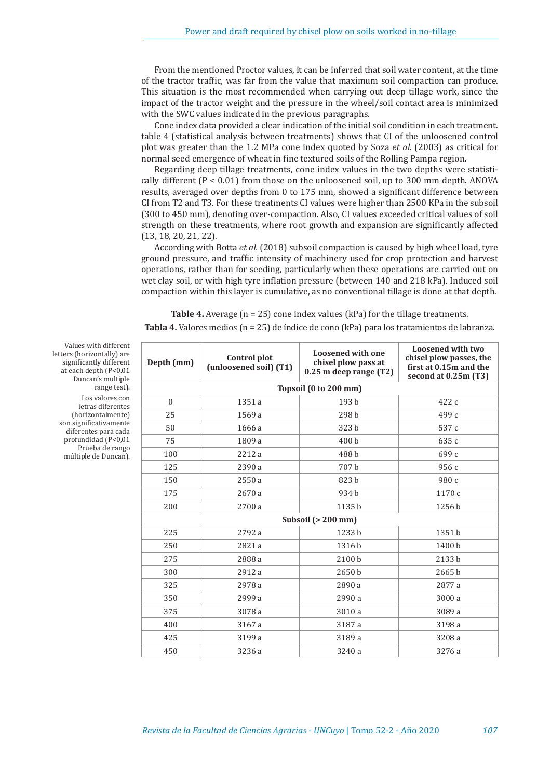From the mentioned Proctor values, it can be inferred that soil water content, at the time of the tractor traffic, was far from the value that maximum soil compaction can produce. This situation is the most recommended when carrying out deep tillage work, since the impact of the tractor weight and the pressure in the wheel/soil contact area is minimized with the SWC values indicated in the previous paragraphs.

Cone index data provided a clear indication of the initial soil condition in each treatment. table 4 (statistical analysis between treatments) shows that CI of the unloosened control plot was greater than the 1.2 MPa cone index quoted by Soza *et al.* (2003) as critical for normal seed emergence of wheat in fine textured soils of the Rolling Pampa region.

Regarding deep tillage treatments, cone index values in the two depths were statistically different  $(P < 0.01)$  from those on the unloosened soil, up to 300 mm depth. ANOVA results, averaged over depths from 0 to 175 mm, showed a significant difference between CI from T2 and T3. For these treatments CI values were higher than 2500 KPa in the subsoil (300 to 450 mm), denoting over-compaction. Also, CI values exceeded critical values of soil strength on these treatments, where root growth and expansion are significantly affected (13, 18, 20, 21, 22).

According with Botta *et al.* (2018) subsoil compaction is caused by high wheel load, tyre ground pressure, and traffic intensity of machinery used for crop protection and harvest operations, rather than for seeding, particularly when these operations are carried out on wet clay soil, or with high tyre inflation pressure (between 140 and 218 kPa). Induced soil compaction within this layer is cumulative, as no conventional tillage is done at that depth.

**Table 4.** Average (n = 25) cone index values (kPa) for the tillage treatments. **Tabla 4.** Valores medios (n = 25) de índice de cono (kPa) para los tratamientos de labranza.

| Depth (mm) | Control plot<br>(unloosened soil) (T1) | <b>Loosened with one</b><br>chisel plow pass at<br>$0.25$ m deep range (T2) | Loosened with two<br>chisel plow passes, the<br>first at 0.15m and the<br>second at 0.25m (T3) |  |  |  |  |
|------------|----------------------------------------|-----------------------------------------------------------------------------|------------------------------------------------------------------------------------------------|--|--|--|--|
|            | Topsoil (0 to 200 mm)                  |                                                                             |                                                                                                |  |  |  |  |
| $\Omega$   | 1351 a                                 | 193 b                                                                       | 422 c                                                                                          |  |  |  |  |
| 25         | 1569 a                                 | 298 b                                                                       | 499 с                                                                                          |  |  |  |  |
| 50         | 1666 a                                 | 323 b                                                                       | 537 c                                                                                          |  |  |  |  |
| 75         | 1809 a                                 | 400 b                                                                       | 635 с                                                                                          |  |  |  |  |
| 100        | 2212 a                                 | 488 b                                                                       | 699 с                                                                                          |  |  |  |  |
| 125        | 2390 a                                 | 707b                                                                        | 956 с                                                                                          |  |  |  |  |
| 150        | 2550 a                                 | 823 b                                                                       | 980 c                                                                                          |  |  |  |  |
| 175        | 2670 a                                 | 934 b                                                                       | 1170 c                                                                                         |  |  |  |  |
| 200        | 2700 a                                 | 1135b                                                                       | 1256 b                                                                                         |  |  |  |  |
|            |                                        | Subsoil $(> 200$ mm)                                                        |                                                                                                |  |  |  |  |
| 225        | 2792 a                                 | 1233 b                                                                      | 1351 b                                                                                         |  |  |  |  |
| 250        | 2821 a                                 | 1316b                                                                       | 1400 b                                                                                         |  |  |  |  |
| 275        | 2888 a                                 | 2100 b                                                                      | 2133 b                                                                                         |  |  |  |  |
| 300        | 2912 a                                 | 2650 b                                                                      | 2665 b                                                                                         |  |  |  |  |
| 325        | 2978 a                                 | 2890 a                                                                      | 2877 a                                                                                         |  |  |  |  |
| 350        | 2999 a                                 | 2990 a                                                                      | 3000 a                                                                                         |  |  |  |  |
| 375        | 3078 a                                 | 3010 a                                                                      | 3089 a                                                                                         |  |  |  |  |
| 400        | 3167 a                                 | 3187 a                                                                      | 3198 a                                                                                         |  |  |  |  |
| 425        | 3199 a                                 | 3189 a                                                                      | 3208 a                                                                                         |  |  |  |  |
| 450        | 3236 a                                 | 3240 a                                                                      | 3276 a                                                                                         |  |  |  |  |

Values with different letters (horizontally) are significantly different at each depth (P<0.01 Duncan's multiple range test). Los valores con

letras diferentes (horizontalmente) son significativamente diferentes para cada profundidad (P<0,01 Prueba de rango múltiple de Duncan).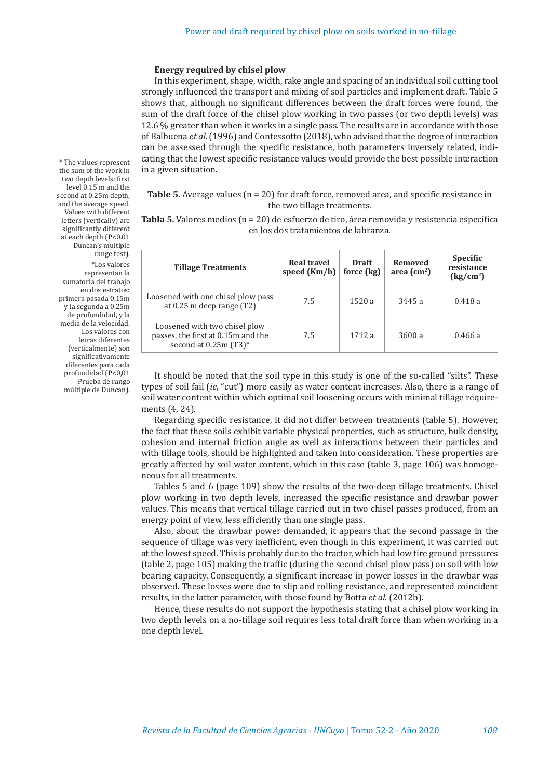#### **Energy required by chisel plow**

In this experiment, shape, width, rake angle and spacing of an individual soil cutting tool strongly influenced the transport and mixing of soil particles and implement draft. Table 5 shows that, although no significant differences between the draft forces were found, the sum of the draft force of the chisel plow working in two passes (or two depth levels) was 12.6 % greater than when it works in a single pass. The results are in accordance with those of Balbuena *et al.* (1996) and Contessotto (2018), who advised that the degree of interaction can be assessed through the specific resistance, both parameters inversely related, indicating that the lowest specific resistance values would provide the best possible interaction in a given situation.

## **Table 5.** Average values (n = 20) for draft force, removed area, and specific resistance in the two tillage treatments.

**Tabla 5.** Valores medios (n = 20) de esfuerzo de tiro, área removida y resistencia específica en los dos tratamientos de labranza.

| <b>Tillage Treatments</b>                                                                       | <b>Real travel</b><br>speed (Km/h) | Draft<br>force (kg) | Removed<br>area $\text{cm}^2$ ) | <b>Specific</b><br>resistance<br>(kg/cm <sup>2</sup> ) |
|-------------------------------------------------------------------------------------------------|------------------------------------|---------------------|---------------------------------|--------------------------------------------------------|
| Loosened with one chisel plow pass<br>at $0.25$ m deep range $(T2)$                             | 7.5                                | 1520a               | 3445 a                          | 0.418a                                                 |
| Loosened with two chisel plow<br>passes, the first at 0.15m and the<br>second at $0.25$ m (T3)* | 7.5                                | 1712 a              | 3600 a                          | 0.466a                                                 |

It should be noted that the soil type in this study is one of the so-called "silts". These types of soil fail (*ie*, "cut") more easily as water content increases. Also, there is a range of soil water content within which optimal soil loosening occurs with minimal tillage requirements (4, 24).

Regarding specific resistance, it did not differ between treatments (table 5). However, the fact that these soils exhibit variable physical properties, such as structure, bulk density, cohesion and internal friction angle as well as interactions between their particles and with tillage tools, should be highlighted and taken into consideration. These properties are greatly affected by soil water content, which in this case (table 3, page 106) was homogeneous for all treatments.

Tables 5 and 6 (page 109) show the results of the two-deep tillage treatments. Chisel plow working in two depth levels, increased the specific resistance and drawbar power values. This means that vertical tillage carried out in two chisel passes produced, from an energy point of view, less efficiently than one single pass.

Also, about the drawbar power demanded, it appears that the second passage in the sequence of tillage was very inefficient, even though in this experiment, it was carried out at the lowest speed. This is probably due to the tractor, which had low tire ground pressures (table 2, page 105) making the traffic (during the second chisel plow pass) on soil with low bearing capacity. Consequently, a significant increase in power losses in the drawbar was observed. These losses were due to slip and rolling resistance, and represented coincident results, in the latter parameter, with those found by Botta *et al.* (2012b).

Hence, these results do not support the hypothesis stating that a chisel plow working in two depth levels on a no-tillage soil requires less total draft force than when working in a one depth level.

\* The values represent the sum of the work in two depth levels: first level 0.15 m and the second at 0.25m depth, and the average speed. Values with different letters (vertically) are significantly different at each depth (P<0.01 Duncan's multiple range test). \*Los valores representan la sumatoria del trabajo en dos estratos: primera pasada 0,15m y la segunda a 0,25m de profundidad, y la media de la velocidad. Los valores con letras diferentes (verticalmente) son significativamente diferentes para cada profundidad (P<0,01 Prueba de rango múltiple de Duncan).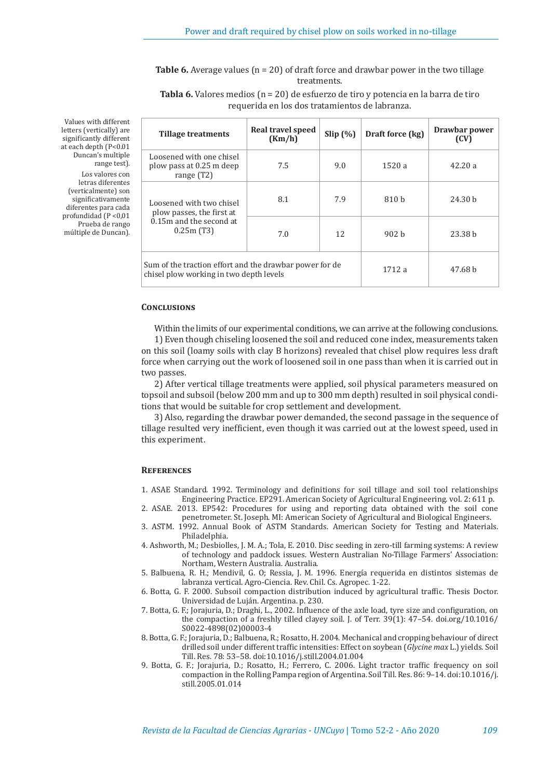**Table 6.** Average values (n = 20) of draft force and drawbar power in the two tillage treatments.

**Tabla 6.** Valores medios (n = 20) de esfuerzo de tiro y potencia en la barra de tiro requerida en los dos tratamientos de labranza.

| t<br>e<br>t<br>$\mathbf{1}$ | <b>Tillage treatments</b>                                                                          | Real travel speed<br>(Km/h) | Slip(%) | Draft force (kg) | Drawbar power<br>(CV) |
|-----------------------------|----------------------------------------------------------------------------------------------------|-----------------------------|---------|------------------|-----------------------|
| e<br>n                      | Loosened with one chisel<br>plow pass at 0.25 m deep<br>range $(T2)$                               | 7.5                         | 9.0     | 1520a            | 42.20a                |
| S<br>n<br>e<br>a            | Loosened with two chisel<br>plow passes, the first at                                              | 8.1                         | 7.9     | 810 h            | 24.30 h               |
| 0                           | 0.15m and the second at<br>0.25m(T3)                                                               | 7.0                         | 12      | 902 <sub>b</sub> | 23.38 h               |
|                             | Sum of the traction effort and the drawbar power for de<br>chisel plow working in two depth levels |                             |         | 1712a            | 47.68 b               |

**Conclusions**

Within the limits of our experimental conditions, we can arrive at the following conclusions.

1) Even though chiseling loosened the soil and reduced cone index, measurements taken on this soil (loamy soils with clay B horizons) revealed that chisel plow requires less draft force when carrying out the work of loosened soil in one pass than when it is carried out in two passes.

2) After vertical tillage treatments were applied, soil physical parameters measured on topsoil and subsoil (below 200 mm and up to 300 mm depth) resulted in soil physical conditions that would be suitable for crop settlement and development.

3) Also, regarding the drawbar power demanded, the second passage in the sequence of tillage resulted very inefficient, even though it was carried out at the lowest speed, used in this experiment.

## **References**

- 1. ASAE Standard. 1992. Terminology and definitions for soil tillage and soil tool relationships Engineering Practice. EP291. American Society of Agricultural Engineering. vol. 2: 611 p.
- 2. ASAE. 2013. EP542: Procedures for using and reporting data obtained with the soil cone penetrometer. St. Joseph. MI: American Society of Agricultural and Biological Engineers.
- 3. ASTM. 1992. Annual Book of ASTM Standards. American Society for Testing and Materials. Philadelphia.
- 4. Ashworth, M.; Desbiolles, J. M. A.; Tola, E. 2010. Disc seeding in zero-till farming systems: A review of technology and paddock issues. Western Australian No-Tillage Farmers' Association: Northam, Western Australia. Australia.
- 5. Balbuena, R. H.; Mendivil, G. O; Ressia, J. M. 1996. Energía requerida en distintos sistemas de labranza vertical. Agro-Ciencia. Rev. Chil. Cs. Agropec. 1-22.
- 6. Botta, G. F. 2000. Subsoil compaction distribution induced by agricultural traffic. Thesis Doctor. Universidad de Luján. Argentina. p. 230.
- 7. Botta, G. F.; Jorajuria, D.; Draghi, L., 2002. Influence of the axle load, tyre size and configuration, on the compaction of a freshly tilled clayey soil. J. of Terr. 39(1): 47–54. doi.org/10.1016/ S0022-4898(02)00003-4
- 8. Botta, G. F.; Jorajuria, D.; Balbuena, R.; Rosatto, H. 2004. Mechanical and cropping behaviour of direct drilled soil under different traffic intensities: Effect on soybean (*Glycine max* L.) yields. Soil Till. Res. 78: 53–58. doi:10.1016/j.still.2004.01.004
- 9. Botta, G. F.; Jorajuria, D.; Rosatto, H.; Ferrero, C. 2006. Light tractor traffic frequency on soil compaction in the Rolling Pampa region of Argentina. Soil Till. Res. 86: 9–14. doi:10.1016/j. still.2005.01.014

Values with different letters (vertically) ar significantly different at each depth (P<0.0 Duncan's multipl range test). Los valores con

letras diferente (verticalmente) so significativament diferentes para cad profundidad  $(P < 0.01)$ Prueba de rango múltiple de Duncan).